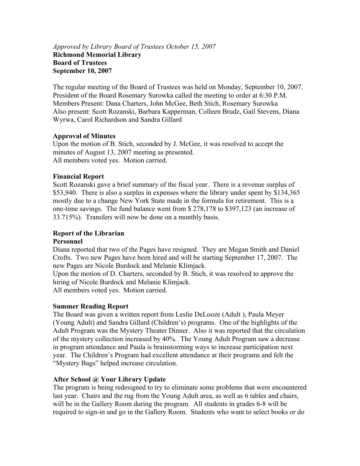#### *Approved by Library Board of Trustees October 15, 2007*  **Richmond Memorial Library Board of Trustees September 10, 2007**

The regular meeting of the Board of Trustees was held on Monday, September 10, 2007. President of the Board Rosemary Surowka called the meeting to order at 6:30 P.M. Members Present: Dana Charters, John McGee, Beth Stich, Rosemary Surowka Also present: Scott Rozanski, Barbara Kapperman, Colleen Brudz, Gail Stevens, Diana Wyrwa, Carol Richardson and Sandra Gillard

## **Approval of Minutes**

Upon the motion of B. Stich, seconded by J. McGee, it was resolved to accept the minutes of August 13, 2007 meeting as presented. All members voted yes. Motion carried.

## **Financial Report**

Scott Rozanski gave a brief summary of the fiscal year. There is a revenue surplus of \$53,940. There is also a surplus in expenses where the library under spent by \$134,365 mostly due to a change New York State made in the formula for retirement. This is a one-time savings. The fund balance went from \$ 278,178 to \$397,123 (an increase of 33.715%). Transfers will now be done on a monthly basis.

# **Report of the Librarian**

## **Personnel**

Diana reported that two of the Pages have resigned. They are Megan Smith and Daniel Crofts. Two new Pages have been hired and will be starting September 17, 2007. The new Pages are Nicole Burdock and Melanie Klimjack.

Upon the motion of D. Charters, seconded by B. Stich, it was resolved to approve the hiring of Nicole Burdock and Melanie Klimjack.

All members voted yes. Motion carried.

#### **Summer Reading Report**

The Board was given a written report from Leslie DeLooze (Adult ), Paula Meyer (Young Adult) and Sandra Gillard (Children's) programs. One of the highlights of the Adult Program was the Mystery Theater Dinner. Also it was reported that the circulation of the mystery collection increased by 40%. The Young Adult Program saw a decrease in program attendance and Paula is brainstorming ways to increase participation next year. The Children's Program had excellent attendance at their programs and felt the "Mystery Bags" helped increase circulation.

#### **After School @ Your Library Update**

The program is being redesigned to try to eliminate some problems that were encountered last year. Chairs and the rug from the Young Adult area, as well as 6 tables and chairs, will be in the Gallery Room during the program. All students in grades 6-8 will be required to sign-in and go in the Gallery Room. Students who want to select books or do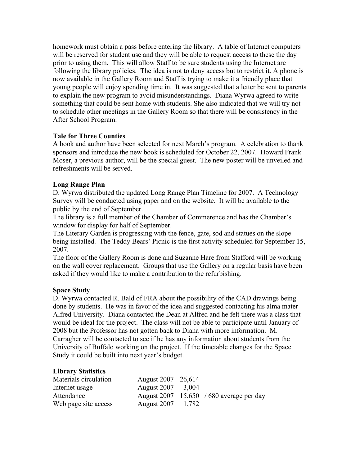homework must obtain a pass before entering the library. A table of Internet computers will be reserved for student use and they will be able to request access to these the day prior to using them. This will allow Staff to be sure students using the Internet are following the library policies. The idea is not to deny access but to restrict it. A phone is now available in the Gallery Room and Staff is trying to make it a friendly place that young people will enjoy spending time in. It was suggested that a letter be sent to parents to explain the new program to avoid misunderstandings. Diana Wyrwa agreed to write something that could be sent home with students. She also indicated that we will try not to schedule other meetings in the Gallery Room so that there will be consistency in the After School Program.

## **Tale for Three Counties**

A book and author have been selected for next March's program. A celebration to thank sponsors and introduce the new book is scheduled for October 22, 2007. Howard Frank Moser, a previous author, will be the special guest. The new poster will be unveiled and refreshments will be served.

## **Long Range Plan**

D. Wyrwa distributed the updated Long Range Plan Timeline for 2007. A Technology Survey will be conducted using paper and on the website. It will be available to the public by the end of September.

The library is a full member of the Chamber of Commerence and has the Chamber's window for display for half of September.

The Literary Garden is progressing with the fence, gate, sod and statues on the slope being installed. The Teddy Bears' Picnic is the first activity scheduled for September 15, 2007.

The floor of the Gallery Room is done and Suzanne Hare from Stafford will be working on the wall cover replacement. Groups that use the Gallery on a regular basis have been asked if they would like to make a contribution to the refurbishing.

#### **Space Study**

D. Wyrwa contacted R. Bald of FRA about the possibility of the CAD drawings being done by students. He was in favor of the idea and suggested contacting his alma mater Alfred University. Diana contacted the Dean at Alfred and he felt there was a class that would be ideal for the project. The class will not be able to participate until January of 2008 but the Professor has not gotten back to Diana with more information. M. Carragher will be contacted to see if he has any information about students from the University of Buffalo working on the project. If the timetable changes for the Space Study it could be built into next year's budget.

#### **Library Statistics**

| Materials circulation | August 2007 26,614 |                                          |
|-----------------------|--------------------|------------------------------------------|
| Internet usage        | August 2007 3,004  |                                          |
| Attendance            |                    | August 2007 15,650 / 680 average per day |
| Web page site access  | August 2007 1,782  |                                          |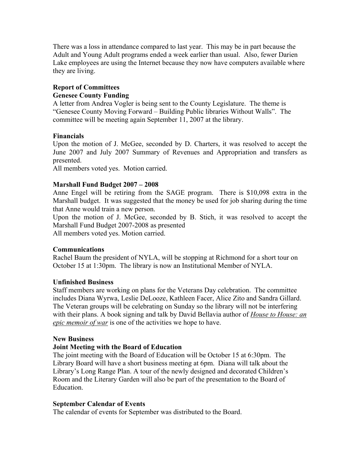There was a loss in attendance compared to last year. This may be in part because the Adult and Young Adult programs ended a week earlier than usual. Also, fewer Darien Lake employees are using the Internet because they now have computers available where they are living.

## **Report of Committees Genesee County Funding**

A letter from Andrea Vogler is being sent to the County Legislature. The theme is "Genesee County Moving Forward – Building Public libraries Without Walls". The committee will be meeting again September 11, 2007 at the library.

## **Financials**

Upon the motion of J. McGee, seconded by D. Charters, it was resolved to accept the June 2007 and July 2007 Summary of Revenues and Appropriation and transfers as presented.

All members voted yes. Motion carried.

## **Marshall Fund Budget 2007 – 2008**

Anne Engel will be retiring from the SAGE program. There is \$10,098 extra in the Marshall budget. It was suggested that the money be used for job sharing during the time that Anne would train a new person.

Upon the motion of J. McGee, seconded by B. Stich, it was resolved to accept the Marshall Fund Budget 2007-2008 as presented

All members voted yes. Motion carried.

## **Communications**

Rachel Baum the president of NYLA, will be stopping at Richmond for a short tour on October 15 at 1:30pm. The library is now an Institutional Member of NYLA.

## **Unfinished Business**

Staff members are working on plans for the Veterans Day celebration. The committee includes Diana Wyrwa, Leslie DeLooze, Kathleen Facer, Alice Zito and Sandra Gillard. The Veteran groups will be celebrating on Sunday so the library will not be interfering with their plans. A book signing and talk by David Bellavia author of *House to House: an epic memoir of war* is one of the activities we hope to have.

## **New Business**

## **Joint Meeting with the Board of Education**

The joint meeting with the Board of Education will be October 15 at 6:30pm. The Library Board will have a short business meeting at 6pm. Diana will talk about the Library's Long Range Plan. A tour of the newly designed and decorated Children's Room and the Literary Garden will also be part of the presentation to the Board of Education.

## **September Calendar of Events**

The calendar of events for September was distributed to the Board.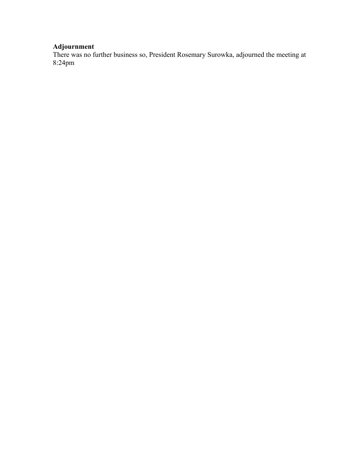## **Adjournment**

There was no further business so, President Rosemary Surowka, adjourned the meeting at 8:24pm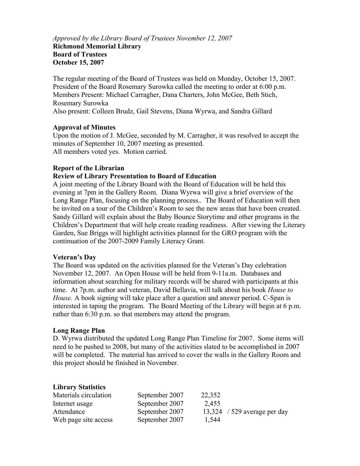*Approved by the Library Board of Trustees November 12, 2007*  **Richmond Memorial Library Board of Trustees October 15, 2007** 

The regular meeting of the Board of Trustees was held on Monday, October 15, 2007. President of the Board Rosemary Surowka called the meeting to order at 6:00 p.m. Members Present: Michael Carragher, Dana Charters, John McGee, Beth Stich, Rosemary Surowka Also present: Colleen Brudz, Gail Stevens, Diana Wyrwa, and Sandra Gillard

#### **Approval of Minutes**

Upon the motion of J. McGee, seconded by M. Carragher, it was resolved to accept the minutes of September 10, 2007 meeting as presented. All members voted yes. Motion carried.

#### **Report of the Librarian**

#### **Review of Library Presentation to Board of Education**

A joint meeting of the Library Board with the Board of Education will be held this evening at 7pm in the Gallery Room. Diana Wyrwa will give a brief overview of the Long Range Plan, focusing on the planning process.. The Board of Education will then be invited on a tour of the Children's Room to see the new areas that have been created. Sandy Gillard will explain about the Baby Bounce Storytime and other programs in the Children's Department that will help create reading readiness. After viewing the Literary Garden, Sue Briggs will highlight activities planned for the GRO program with the continuation of the 2007-2009 Family Literacy Grant.

#### **Veteran's Day**

The Board was updated on the activities planned for the Veteran's Day celebration November 12, 2007. An Open House will be held from 9-11a.m. Databases and information about searching for military records will be shared with participants at this time. At 7p.m. author and veteran, David Bellavia, will talk about his book *House to House.* A book signing will take place after a question and answer period. C-Span is interested in taping the program. The Board Meeting of the Library will begin at 6 p.m. rather than 6:30 p.m. so that members may attend the program.

#### **Long Range Plan**

D. Wyrwa distributed the updated Long Range Plan Timeline for 2007. Some items will need to be pushed to 2008, but many of the activities slated to be accomplished in 2007 will be completed. The material has arrived to cover the walls in the Gallery Room and this project should be finished in November.

#### **Library Statistics**

| Materials circulation | September 2007 | 22,352 |                              |
|-----------------------|----------------|--------|------------------------------|
| Internet usage        | September 2007 | 2,455  |                              |
| Attendance            | September 2007 |        | 13,324 / 529 average per day |
| Web page site access  | September 2007 | 1,544  |                              |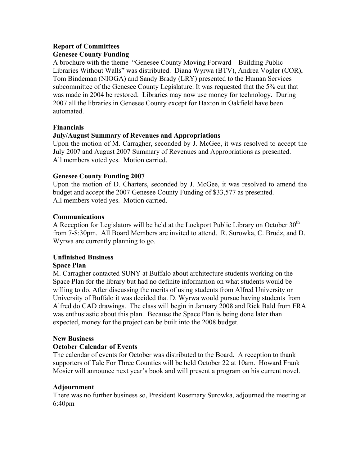## **Report of Committees Genesee County Funding**

A brochure with the theme "Genesee County Moving Forward – Building Public Libraries Without Walls" was distributed. Diana Wyrwa (BTV), Andrea Vogler (COR), Tom Bindeman (NIOGA) and Sandy Brady (LRY) presented to the Human Services subcommittee of the Genesee County Legislature. It was requested that the 5% cut that was made in 2004 be restored. Libraries may now use money for technology. During 2007 all the libraries in Genesee County except for Haxton in Oakfield have been automated.

## **Financials**

## **July/August Summary of Revenues and Appropriations**

Upon the motion of M. Carragher, seconded by J. McGee, it was resolved to accept the July 2007 and August 2007 Summary of Revenues and Appropriations as presented. All members voted yes. Motion carried.

## **Genesee County Funding 2007**

Upon the motion of D. Charters, seconded by J. McGee, it was resolved to amend the budget and accept the 2007 Genesee County Funding of \$33,577 as presented. All members voted yes. Motion carried.

## **Communications**

A Reception for Legislators will be held at the Lockport Public Library on October  $30<sup>th</sup>$ from 7-8:30pm. All Board Members are invited to attend. R. Surowka, C. Brudz, and D. Wyrwa are currently planning to go.

## **Unfinished Business**

## **Space Plan**

M. Carragher contacted SUNY at Buffalo about architecture students working on the Space Plan for the library but had no definite information on what students would be willing to do. After discussing the merits of using students from Alfred University or University of Buffalo it was decided that D. Wyrwa would pursue having students from Alfred do CAD drawings. The class will begin in January 2008 and Rick Bald from FRA was enthusiastic about this plan. Because the Space Plan is being done later than expected, money for the project can be built into the 2008 budget.

## **New Business**

## **October Calendar of Events**

The calendar of events for October was distributed to the Board. A reception to thank supporters of Tale For Three Counties will be held October 22 at 10am. Howard Frank Mosier will announce next year's book and will present a program on his current novel.

## **Adjournment**

There was no further business so, President Rosemary Surowka, adjourned the meeting at 6:40pm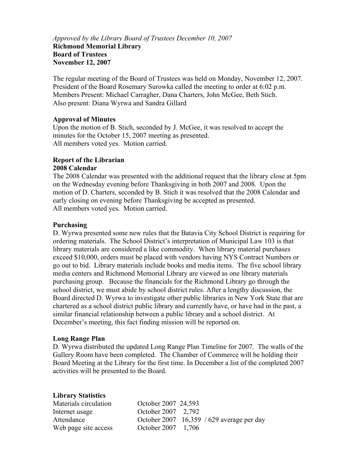*Approved by the Library Board of Trustees December 10, 2007*  **Richmond Memorial Library Board of Trustees November 12, 2007** 

The regular meeting of the Board of Trustees was held on Monday, November 12, 2007. President of the Board Rosemary Surowka called the meeting to order at 6:02 p.m. Members Present: Michael Carragher, Dana Charters, John McGee, Beth Stich. Also present: Diana Wyrwa and Sandra Gillard

#### **Approval of Minutes**

Upon the motion of B. Stich, seconded by J. McGee, it was resolved to accept the minutes for the October 15, 2007 meeting as presented. All members voted yes. Motion carried.

#### **Report of the Librarian 2008 Calendar**

The 2008 Calendar was presented with the additional request that the library close at 5pm on the Wednesday evening before Thanksgiving in both 2007 and 2008. Upon the motion of D. Charters, seconded by B. Stich it was resolved that the 2008 Calendar and early closing on evening before Thanksgiving be accepted as presented. All members voted yes. Motion carried.

#### **Purchasing**

D. Wyrwa presented some new rules that the Batavia City School District is requiring for ordering materials. The School District's interpretation of Municipal Law 103 is that library materials are considered a like commodity. When library material purchases exceed \$10,000, orders must be placed with vendors having NYS Contract Numbers or go out to bid. Library materials include books and media items. The five school library media centers and Richmond Memorial Library are viewed as one library materials purchasing group. Because the financials for the Richmond Library go through the school district, we must abide by school district rules. After a lengthy discussion, the Board directed D. Wyrwa to investigate other public libraries in New York State that are chartered as a school district public library and currently have, or have had in the past, a similar financial relationship between a public library and a school district. At December's meeting, this fact finding mission will be reported on.

#### **Long Range Plan**

D. Wyrwa distributed the updated Long Range Plan Timeline for 2007. The walls of the Gallery Room have been completed. The Chamber of Commerce will be holding their Board Meeting at the Library for the first time. In December a list of the completed 2007 activities will be presented to the Board.

#### **Library Statistics**

| Materials circulation | October 2007 24,593 |                                             |
|-----------------------|---------------------|---------------------------------------------|
| Internet usage        | October 2007 2.792  |                                             |
| Attendance            |                     | October 2007 $16,359 / 629$ average per day |
| Web page site access  | October 2007 1,706  |                                             |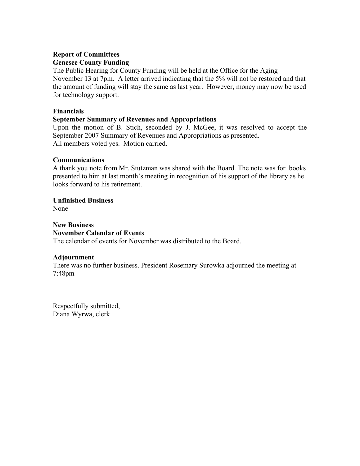## **Report of Committees Genesee County Funding**

The Public Hearing for County Funding will be held at the Office for the Aging November 13 at 7pm. A letter arrived indicating that the 5% will not be restored and that the amount of funding will stay the same as last year. However, money may now be used for technology support.

## **Financials**

## **September Summary of Revenues and Appropriations**

Upon the motion of B. Stich, seconded by J. McGee, it was resolved to accept the September 2007 Summary of Revenues and Appropriations as presented. All members voted yes. Motion carried.

## **Communications**

A thank you note from Mr. Stutzman was shared with the Board. The note was for books presented to him at last month's meeting in recognition of his support of the library as he looks forward to his retirement.

## **Unfinished Business**

None

## **New Business November Calendar of Events**

The calendar of events for November was distributed to the Board.

## **Adjournment**

There was no further business. President Rosemary Surowka adjourned the meeting at 7:48pm

Respectfully submitted, Diana Wyrwa, clerk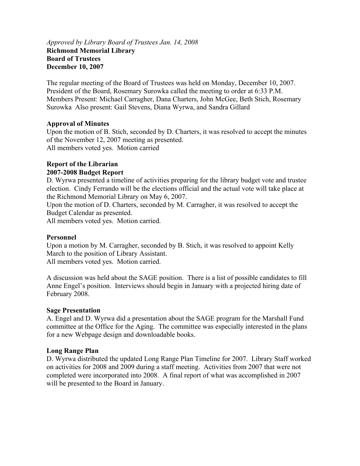#### *Approved by Library Board of Trustees Jan. 14, 2008*  **Richmond Memorial Library Board of Trustees December 10, 2007**

The regular meeting of the Board of Trustees was held on Monday, December 10, 2007. President of the Board, Rosemary Surowka called the meeting to order at 6:33 P.M. Members Present: Michael Carragher, Dana Charters, John McGee, Beth Stich, Rosemary Surowka Also present: Gail Stevens, Diana Wyrwa, and Sandra Gillard

## **Approval of Minutes**

Upon the motion of B. Stich, seconded by D. Charters, it was resolved to accept the minutes of the November 12, 2007 meeting as presented. All members voted yes. Motion carried

## **Report of the Librarian**

## **2007-2008 Budget Report**

D. Wyrwa presented a timeline of activities preparing for the library budget vote and trustee election. Cindy Ferrando will be the elections official and the actual vote will take place at the Richmond Memorial Library on May 6, 2007.

Upon the motion of D. Charters, seconded by M. Carragher, it was resolved to accept the Budget Calendar as presented.

All members voted yes. Motion carried.

#### **Personnel**

Upon a motion by M. Carragher, seconded by B. Stich, it was resolved to appoint Kelly March to the position of Library Assistant.

All members voted yes. Motion carried.

A discussion was held about the SAGE position. There is a list of possible candidates to fill Anne Engel's position. Interviews should begin in January with a projected hiring date of February 2008.

#### **Sage Presentation**

A. Engel and D. Wyrwa did a presentation about the SAGE program for the Marshall Fund committee at the Office for the Aging. The committee was especially interested in the plans for a new Webpage design and downloadable books.

#### **Long Range Plan**

D. Wyrwa distributed the updated Long Range Plan Timeline for 2007. Library Staff worked on activities for 2008 and 2009 during a staff meeting. Activities from 2007 that were not completed were incorporated into 2008. A final report of what was accomplished in 2007 will be presented to the Board in January.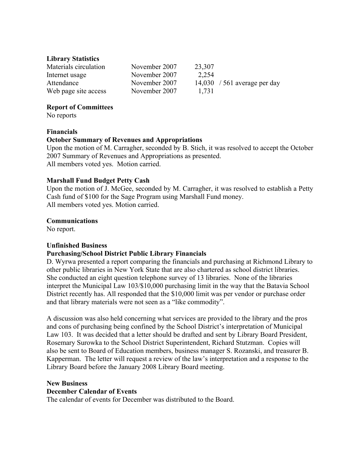#### **Library Statistics**

| Materials circulation | November 2007 | 23,307 |                              |
|-----------------------|---------------|--------|------------------------------|
| Internet usage        | November 2007 | 2,254  |                              |
| Attendance            | November 2007 |        | 14,030 / 561 average per day |
| Web page site access  | November 2007 | 1.731  |                              |

#### **Report of Committees**

No reports

#### **Financials**

#### **October Summary of Revenues and Appropriations**

Upon the motion of M. Carragher, seconded by B. Stich, it was resolved to accept the October 2007 Summary of Revenues and Appropriations as presented. All members voted yes. Motion carried.

#### **Marshall Fund Budget Petty Cash**

Upon the motion of J. McGee, seconded by M. Carragher, it was resolved to establish a Petty Cash fund of \$100 for the Sage Program using Marshall Fund money. All members voted yes. Motion carried.

#### **Communications**

No report.

#### **Unfinished Business**

#### **Purchasing/School District Public Library Financials**

D. Wyrwa presented a report comparing the financials and purchasing at Richmond Library to other public libraries in New York State that are also chartered as school district libraries. She conducted an eight question telephone survey of 13 libraries. None of the libraries interpret the Municipal Law 103/\$10,000 purchasing limit in the way that the Batavia School District recently has. All responded that the \$10,000 limit was per vendor or purchase order and that library materials were not seen as a "like commodity".

A discussion was also held concerning what services are provided to the library and the pros and cons of purchasing being confined by the School District's interpretation of Municipal Law 103. It was decided that a letter should be drafted and sent by Library Board President, Rosemary Surowka to the School District Superintendent, Richard Stutzman. Copies will also be sent to Board of Education members, business manager S. Rozanski, and treasurer B. Kapperman. The letter will request a review of the law's interpretation and a response to the Library Board before the January 2008 Library Board meeting.

#### **New Business**

#### **December Calendar of Events**

The calendar of events for December was distributed to the Board.